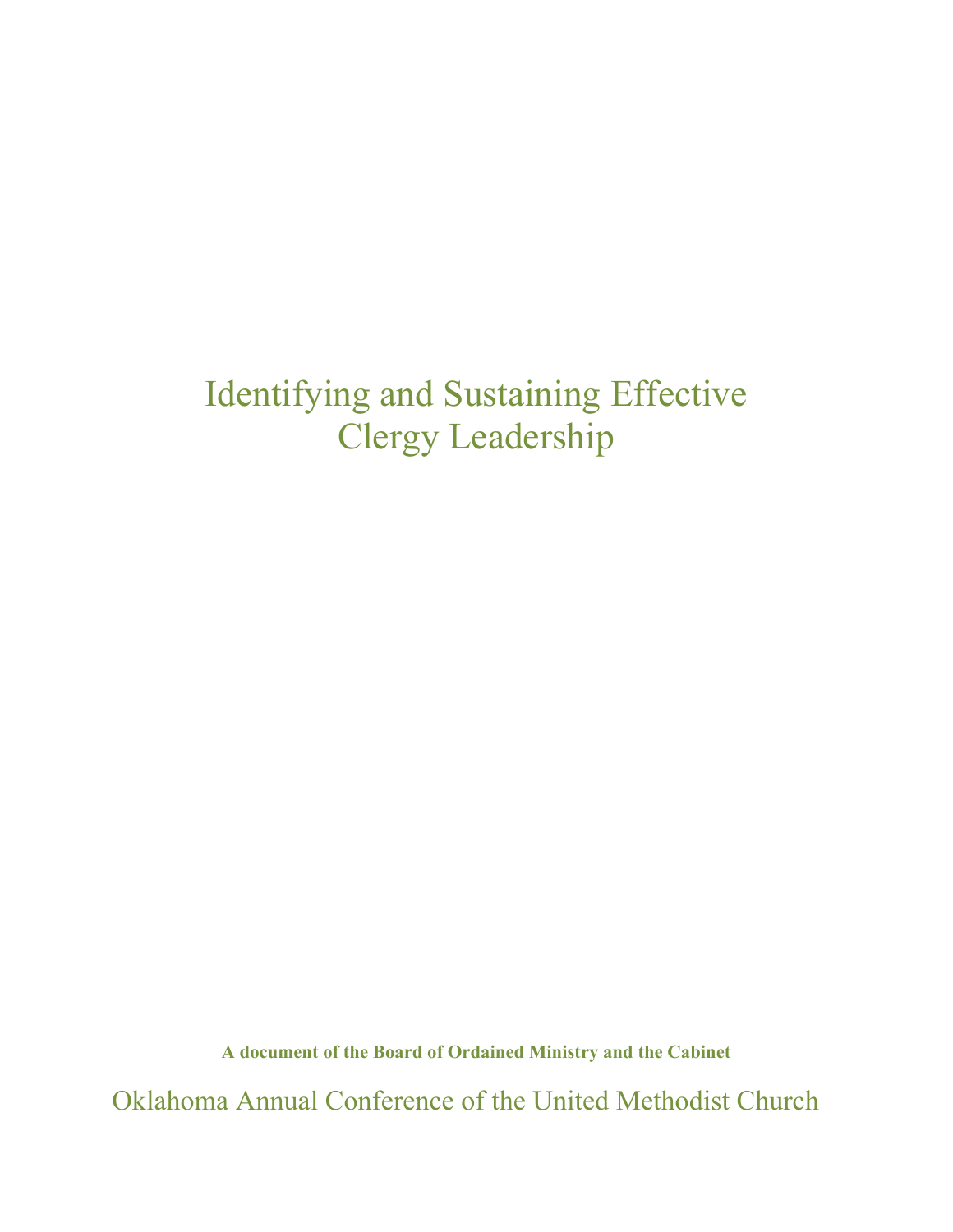# Identifying and Sustaining Effective Clergy Leadership

**A document of the Board of Ordained Ministry and the Cabinet**

Oklahoma Annual Conference of the United Methodist Church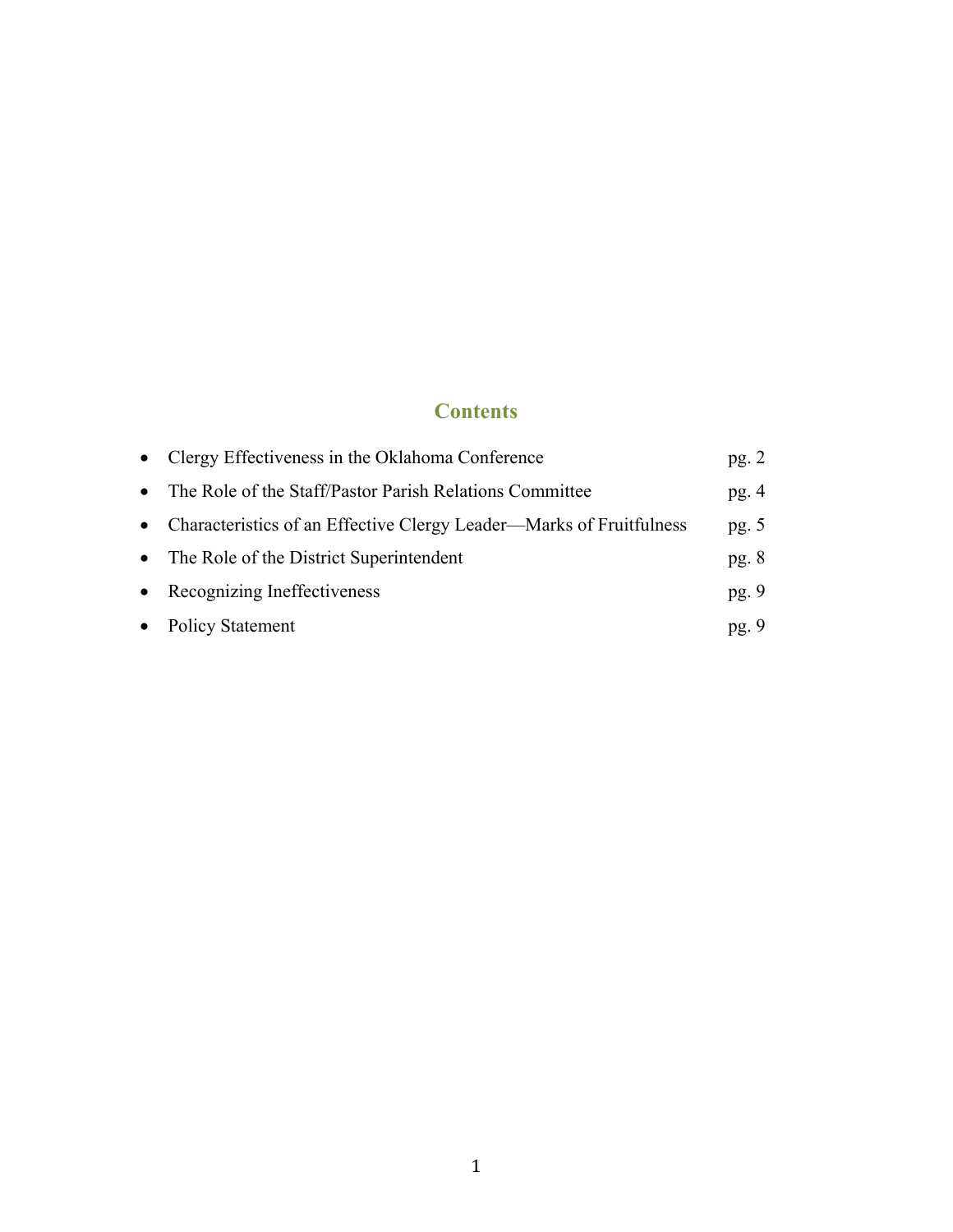### **Contents**

|           | • Clergy Effectiveness in the Oklahoma Conference                     | pg. $2$ |
|-----------|-----------------------------------------------------------------------|---------|
|           | • The Role of the Staff/Pastor Parish Relations Committee             | pg. $4$ |
|           | • Characteristics of an Effective Clergy Leader—Marks of Fruitfulness | pg. $5$ |
|           | • The Role of the District Superintendent                             | pg. $8$ |
|           | • Recognizing Ineffectiveness                                         | pg. $9$ |
| $\bullet$ | <b>Policy Statement</b>                                               | pg.9    |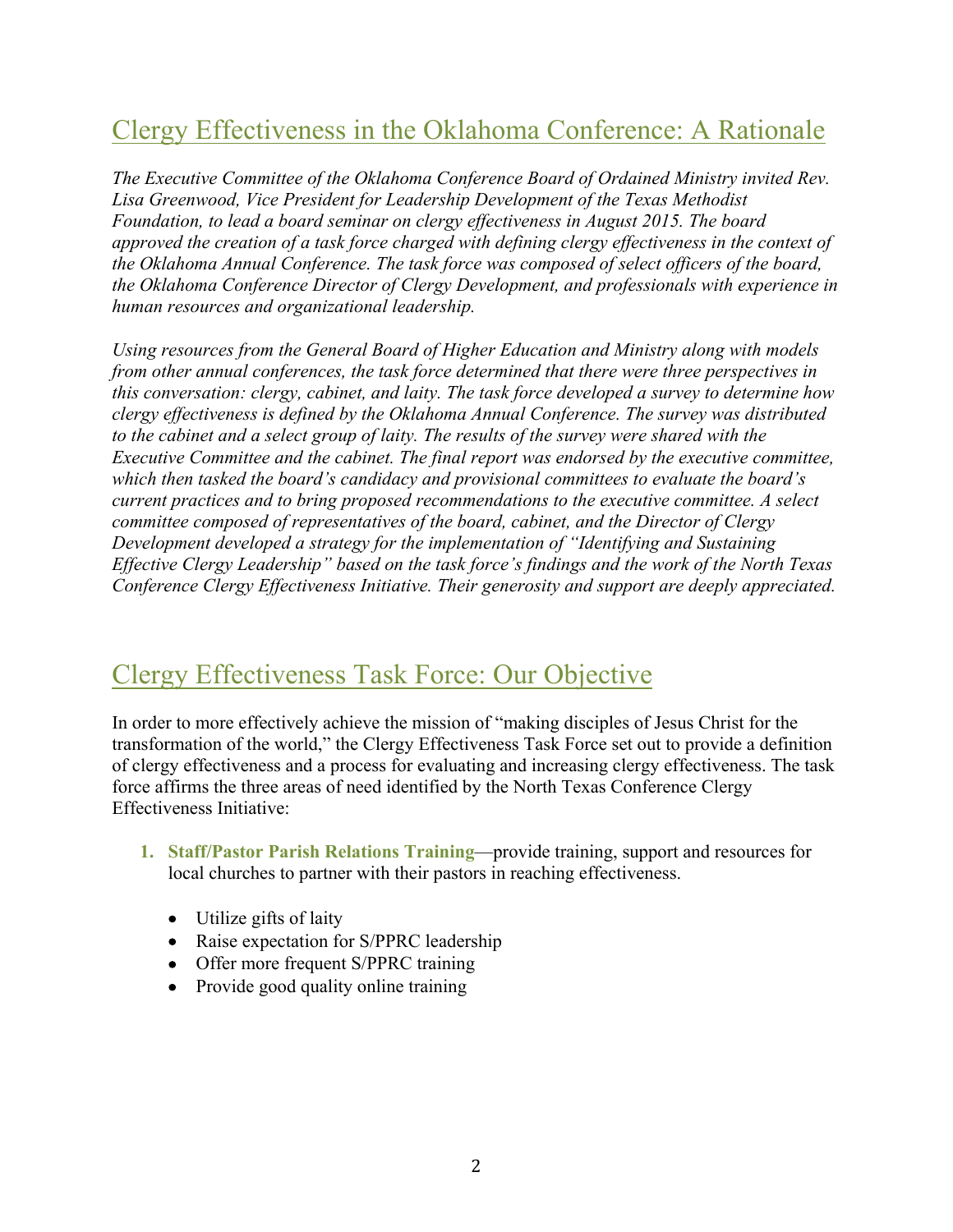# Clergy Effectiveness in the Oklahoma Conference: A Rationale

*The Executive Committee of the Oklahoma Conference Board of Ordained Ministry invited Rev. Lisa Greenwood, Vice President for Leadership Development of the Texas Methodist Foundation, to lead a board seminar on clergy effectiveness in August 2015. The board approved the creation of a task force charged with defining clergy effectiveness in the context of the Oklahoma Annual Conference. The task force was composed of select officers of the board, the Oklahoma Conference Director of Clergy Development, and professionals with experience in human resources and organizational leadership.* 

*Using resources from the General Board of Higher Education and Ministry along with models from other annual conferences, the task force determined that there were three perspectives in this conversation: clergy, cabinet, and laity. The task force developed a survey to determine how clergy effectiveness is defined by the Oklahoma Annual Conference. The survey was distributed to the cabinet and a select group of laity. The results of the survey were shared with the Executive Committee and the cabinet. The final report was endorsed by the executive committee, which then tasked the board's candidacy and provisional committees to evaluate the board's current practices and to bring proposed recommendations to the executive committee. A select committee composed of representatives of the board, cabinet, and the Director of Clergy Development developed a strategy for the implementation of "Identifying and Sustaining Effective Clergy Leadership" based on the task force's findings and the work of the North Texas Conference Clergy Effectiveness Initiative. Their generosity and support are deeply appreciated.*

### Clergy Effectiveness Task Force: Our Objective

In order to more effectively achieve the mission of "making disciples of Jesus Christ for the transformation of the world," the Clergy Effectiveness Task Force set out to provide a definition of clergy effectiveness and a process for evaluating and increasing clergy effectiveness. The task force affirms the three areas of need identified by the North Texas Conference Clergy Effectiveness Initiative:

- **1. Staff/Pastor Parish Relations Training**—provide training, support and resources for local churches to partner with their pastors in reaching effectiveness.
	- Utilize gifts of laity
	- Raise expectation for S/PPRC leadership
	- Offer more frequent S/PPRC training
	- Provide good quality online training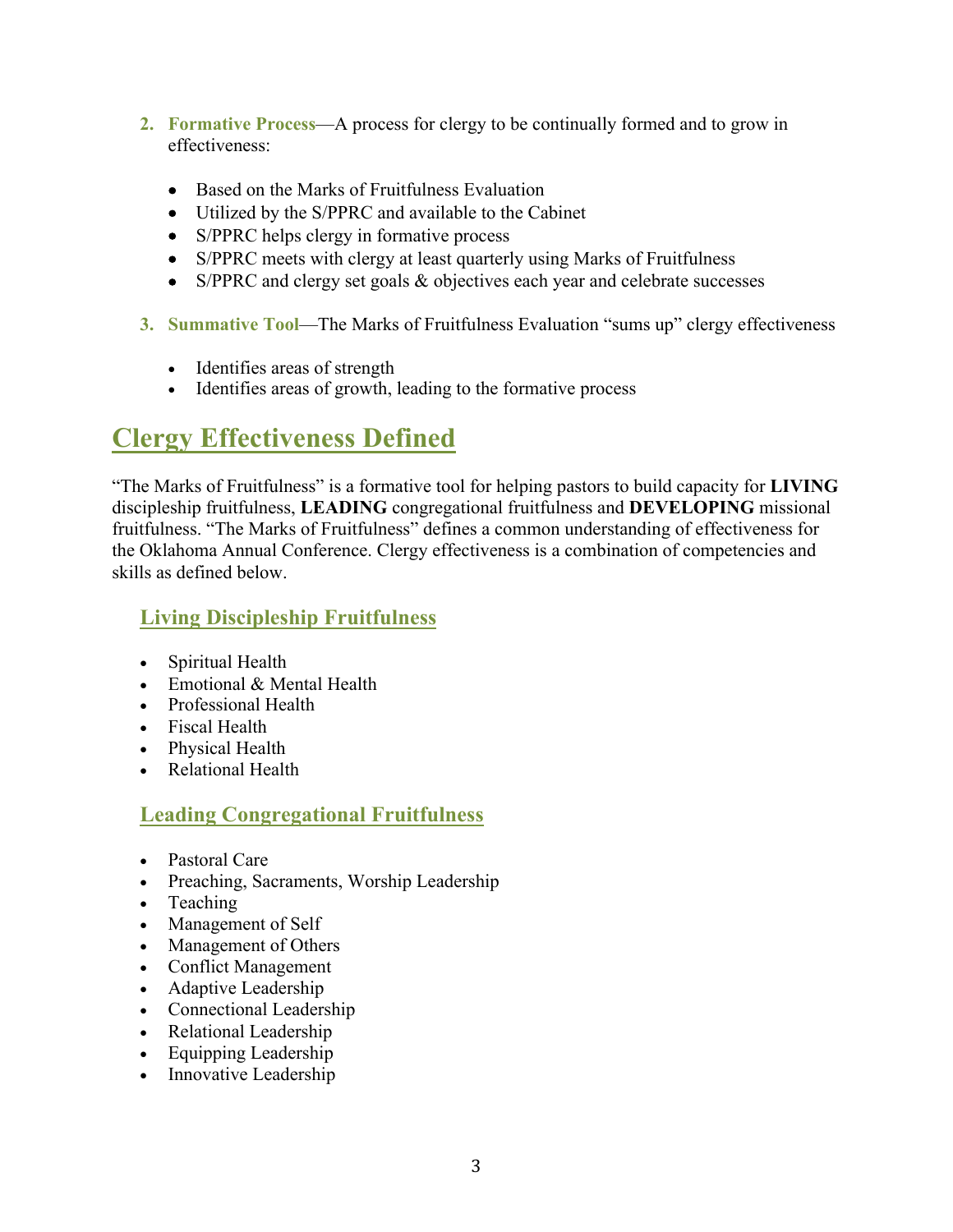- **2. Formative Process**—A process for clergy to be continually formed and to grow in effectiveness:
	- Based on the Marks of Fruitfulness Evaluation
	- Utilized by the S/PPRC and available to the Cabinet
	- S/PPRC helps clergy in formative process
	- S/PPRC meets with clergy at least quarterly using Marks of Fruitfulness
	- S/PPRC and clergy set goals & objectives each year and celebrate successes
- **3. Summative Tool**—The Marks of Fruitfulness Evaluation "sums up" clergy effectiveness
	- Identifies areas of strength
	- Identifies areas of growth, leading to the formative process

# **Clergy Effectiveness Defined**

"The Marks of Fruitfulness" is a formative tool for helping pastors to build capacity for **LIVING**  discipleship fruitfulness, **LEADING** congregational fruitfulness and **DEVELOPING** missional fruitfulness. "The Marks of Fruitfulness" defines a common understanding of effectiveness for the Oklahoma Annual Conference. Clergy effectiveness is a combination of competencies and skills as defined below.

### **Living Discipleship Fruitfulness**

- Spiritual Health
- Emotional & Mental Health
- Professional Health
- Fiscal Health
- Physical Health
- Relational Health

### **Leading Congregational Fruitfulness**

- Pastoral Care
- Preaching, Sacraments, Worship Leadership
- Teaching
- Management of Self
- Management of Others
- Conflict Management
- Adaptive Leadership
- Connectional Leadership
- Relational Leadership
- Equipping Leadership
- Innovative Leadership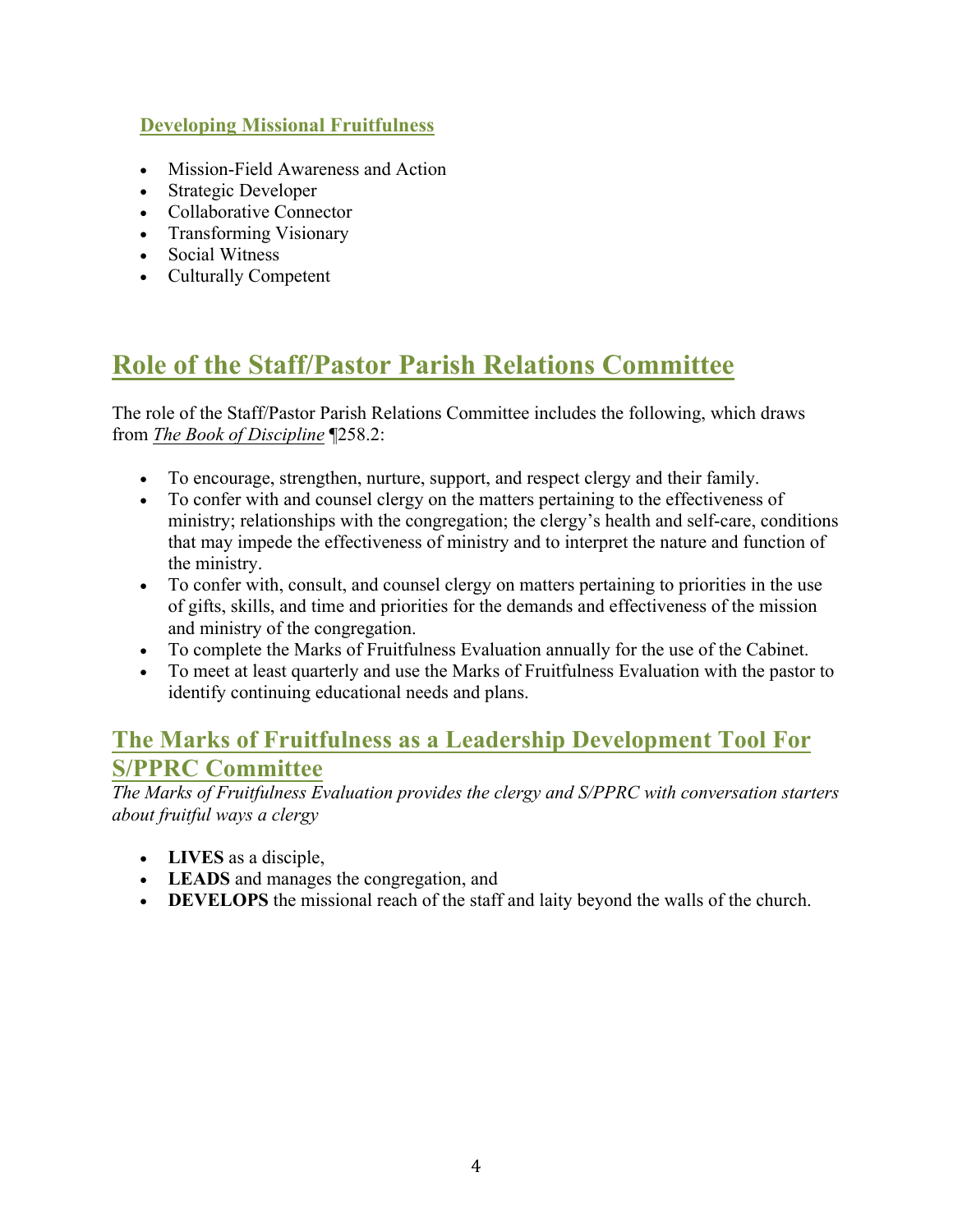#### **Developing Missional Fruitfulness**

- Mission-Field Awareness and Action
- Strategic Developer
- Collaborative Connector
- Transforming Visionary
- Social Witness
- Culturally Competent

# **Role of the Staff/Pastor Parish Relations Committee**

The role of the Staff/Pastor Parish Relations Committee includes the following, which draws from *The Book of Discipline* ¶258.2:

- To encourage, strengthen, nurture, support, and respect clergy and their family.
- To confer with and counsel clergy on the matters pertaining to the effectiveness of ministry; relationships with the congregation; the clergy's health and self-care, conditions that may impede the effectiveness of ministry and to interpret the nature and function of the ministry.
- To confer with, consult, and counsel clergy on matters pertaining to priorities in the use of gifts, skills, and time and priorities for the demands and effectiveness of the mission and ministry of the congregation.
- To complete the Marks of Fruitfulness Evaluation annually for the use of the Cabinet.
- To meet at least quarterly and use the Marks of Fruitfulness Evaluation with the pastor to identify continuing educational needs and plans.

### **The Marks of Fruitfulness as a Leadership Development Tool For S/PPRC Committee**

*The Marks of Fruitfulness Evaluation provides the clergy and S/PPRC with conversation starters about fruitful ways a clergy*

- **LIVES** as a disciple,
- **LEADS** and manages the congregation, and
- **DEVELOPS** the missional reach of the staff and laity beyond the walls of the church.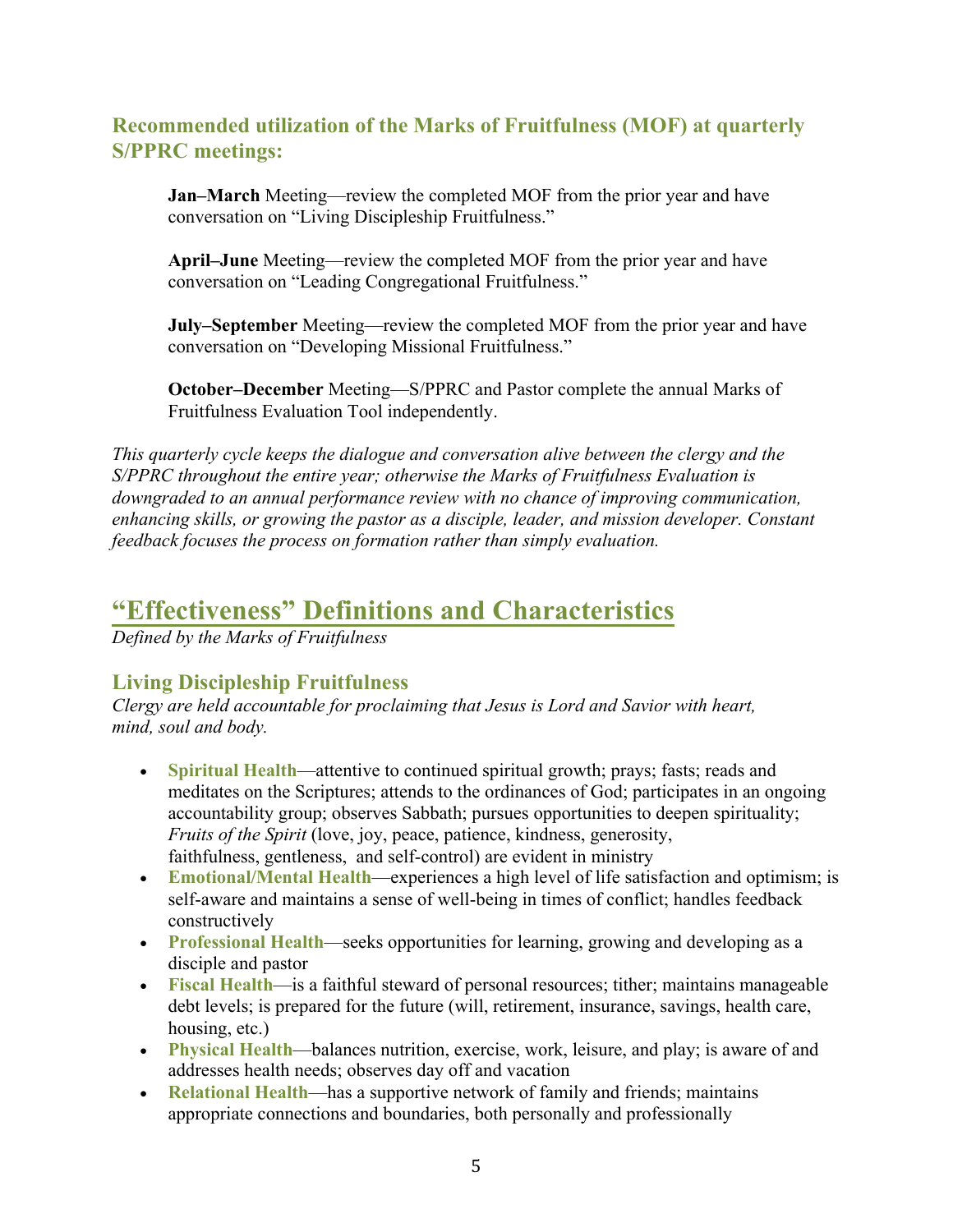#### **Recommended utilization of the Marks of Fruitfulness (MOF) at quarterly S/PPRC meetings:**

**Jan–March** Meeting—review the completed MOF from the prior year and have conversation on "Living Discipleship Fruitfulness."

**April–June** Meeting—review the completed MOF from the prior year and have conversation on "Leading Congregational Fruitfulness."

**July–September** Meeting—review the completed MOF from the prior year and have conversation on "Developing Missional Fruitfulness."

**October–December** Meeting—S/PPRC and Pastor complete the annual Marks of Fruitfulness Evaluation Tool independently.

*This quarterly cycle keeps the dialogue and conversation alive between the clergy and the S/PPRC throughout the entire year; otherwise the Marks of Fruitfulness Evaluation is downgraded to an annual performance review with no chance of improving communication, enhancing skills, or growing the pastor as a disciple, leader, and mission developer. Constant feedback focuses the process on formation rather than simply evaluation.* 

### **"Effectiveness" Definitions and Characteristics**

*Defined by the Marks of Fruitfulness* 

#### **Living Discipleship Fruitfulness**

*Clergy are held accountable for proclaiming that Jesus is Lord and Savior with heart, mind, soul and body.* 

- **Spiritual Health**—attentive to continued spiritual growth; prays; fasts; reads and meditates on the Scriptures; attends to the ordinances of God; participates in an ongoing accountability group; observes Sabbath; pursues opportunities to deepen spirituality; *Fruits of the Spirit* (love, joy, peace, patience, kindness, generosity, faithfulness, gentleness, and self-control) are evident in ministry
- **Emotional/Mental Health**—experiences a high level of life satisfaction and optimism; is self-aware and maintains a sense of well-being in times of conflict; handles feedback constructively
- **Professional Health**—seeks opportunities for learning, growing and developing as a disciple and pastor
- **Fiscal Health**—is a faithful steward of personal resources; tither; maintains manageable debt levels; is prepared for the future (will, retirement, insurance, savings, health care, housing, etc.)
- **Physical Health**—balances nutrition, exercise, work, leisure, and play; is aware of and addresses health needs; observes day off and vacation
- **Relational Health**—has a supportive network of family and friends; maintains appropriate connections and boundaries, both personally and professionally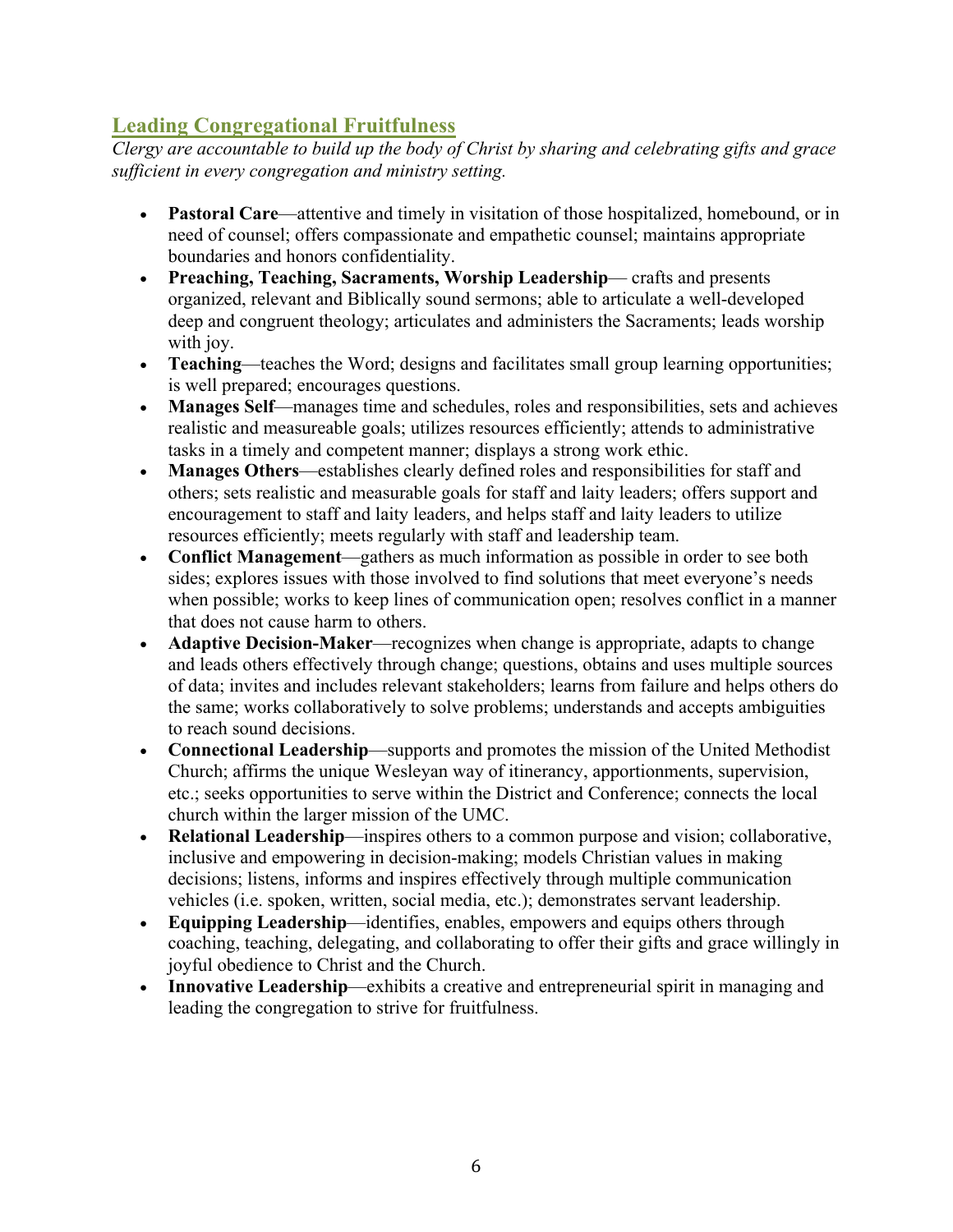### **Leading Congregational Fruitfulness**

*Clergy are accountable to build up the body of Christ by sharing and celebrating gifts and grace sufficient in every congregation and ministry setting.* 

- **Pastoral Care**—attentive and timely in visitation of those hospitalized, homebound, or in need of counsel; offers compassionate and empathetic counsel; maintains appropriate boundaries and honors confidentiality.
- **Preaching, Teaching, Sacraments, Worship Leadership** crafts and presents organized, relevant and Biblically sound sermons; able to articulate a well-developed deep and congruent theology; articulates and administers the Sacraments; leads worship with joy.
- **Teaching**—teaches the Word; designs and facilitates small group learning opportunities; is well prepared; encourages questions.
- **Manages Self**—manages time and schedules, roles and responsibilities, sets and achieves realistic and measureable goals; utilizes resources efficiently; attends to administrative tasks in a timely and competent manner; displays a strong work ethic.
- **Manages Others—establishes clearly defined roles and responsibilities for staff and** others; sets realistic and measurable goals for staff and laity leaders; offers support and encouragement to staff and laity leaders, and helps staff and laity leaders to utilize resources efficiently; meets regularly with staff and leadership team.
- **Conflict Management**—gathers as much information as possible in order to see both sides; explores issues with those involved to find solutions that meet everyone's needs when possible; works to keep lines of communication open; resolves conflict in a manner that does not cause harm to others.
- **Adaptive Decision-Maker**—recognizes when change is appropriate, adapts to change and leads others effectively through change; questions, obtains and uses multiple sources of data; invites and includes relevant stakeholders; learns from failure and helps others do the same; works collaboratively to solve problems; understands and accepts ambiguities to reach sound decisions.
- **Connectional Leadership**—supports and promotes the mission of the United Methodist Church; affirms the unique Wesleyan way of itinerancy, apportionments, supervision, etc.; seeks opportunities to serve within the District and Conference; connects the local church within the larger mission of the UMC.
- **Relational Leadership**—inspires others to a common purpose and vision; collaborative, inclusive and empowering in decision-making; models Christian values in making decisions; listens, informs and inspires effectively through multiple communication vehicles (i.e. spoken, written, social media, etc.); demonstrates servant leadership.
- **Equipping Leadership**—identifies, enables, empowers and equips others through coaching, teaching, delegating, and collaborating to offer their gifts and grace willingly in joyful obedience to Christ and the Church.
- **Innovative Leadership—exhibits a creative and entrepreneurial spirit in managing and** leading the congregation to strive for fruitfulness.